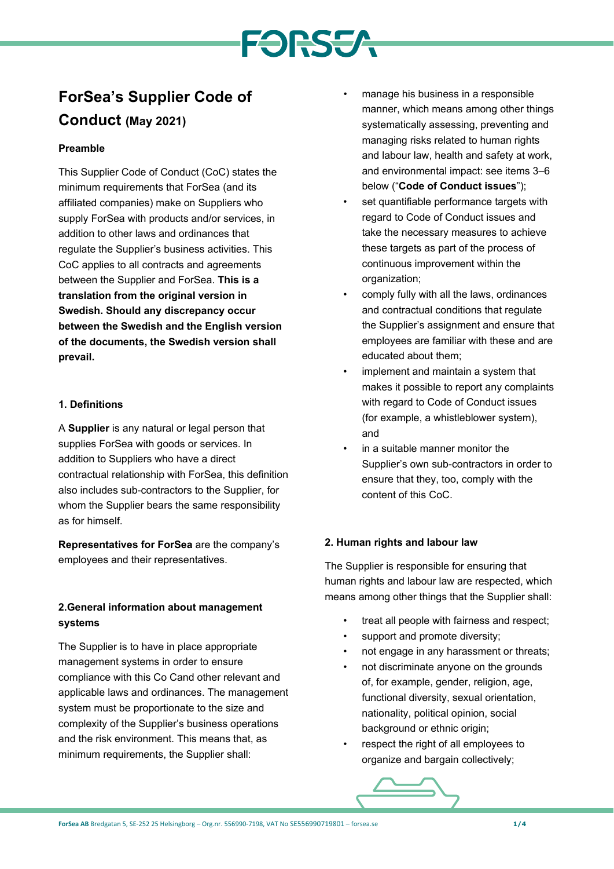# **FORSSA**

# **ForSea's Supplier Code of Conduct (May 2021)**

## **Preamble**

This Supplier Code of Conduct (CoC) states the minimum requirements that ForSea (and its affiliated companies) make on Suppliers who supply ForSea with products and/or services, in addition to other laws and ordinances that regulate the Supplier's business activities. This CoC applies to all contracts and agreements between the Supplier and ForSea. **This is a translation from the original version in Swedish. Should any discrepancy occur between the Swedish and the English version of the documents, the Swedish version shall prevail.**

#### **1. Definitions**

A **Supplier** is any natural or legal person that supplies ForSea with goods or services. In addition to Suppliers who have a direct contractual relationship with ForSea, this definition also includes sub-contractors to the Supplier, for whom the Supplier bears the same responsibility as for himself.

**Representatives for ForSea** are the company's employees and their representatives.

# **2.General information about management systems**

The Supplier is to have in place appropriate management systems in order to ensure compliance with this Co Cand other relevant and applicable laws and ordinances. The management system must be proportionate to the size and complexity of the Supplier's business operations and the risk environment. This means that, as minimum requirements, the Supplier shall:

- manage his business in a responsible manner, which means among other things systematically assessing, preventing and managing risks related to human rights and labour law, health and safety at work, and environmental impact: see items 3–6 below ("**Code of Conduct issues**");
- set quantifiable performance targets with regard to Code of Conduct issues and take the necessary measures to achieve these targets as part of the process of continuous improvement within the organization;
- comply fully with all the laws, ordinances and contractual conditions that regulate the Supplier's assignment and ensure that employees are familiar with these and are educated about them;
- implement and maintain a system that makes it possible to report any complaints with regard to Code of Conduct issues (for example, a whistleblower system), and
- in a suitable manner monitor the Supplier's own sub-contractors in order to ensure that they, too, comply with the content of this CoC.

### **2. Human rights and labour law**

The Supplier is responsible for ensuring that human rights and labour law are respected, which means among other things that the Supplier shall:

- treat all people with fairness and respect;
- support and promote diversity;
- not engage in any harassment or threats;
- not discriminate anyone on the grounds of, for example, gender, religion, age, functional diversity, sexual orientation, nationality, political opinion, social background or ethnic origin;
- respect the right of all employees to organize and bargain collectively;

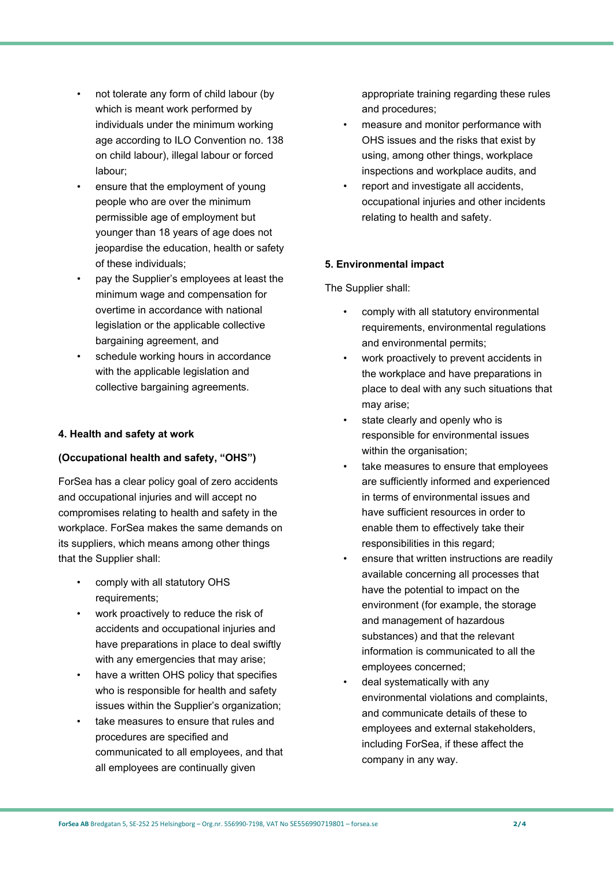- not tolerate any form of child labour (by which is meant work performed by individuals under the minimum working age according to ILO Convention no. 138 on child labour), illegal labour or forced labour;
- ensure that the employment of young people who are over the minimum permissible age of employment but younger than 18 years of age does not jeopardise the education, health or safety of these individuals;
- pay the Supplier's employees at least the minimum wage and compensation for overtime in accordance with national legislation or the applicable collective bargaining agreement, and
- schedule working hours in accordance with the applicable legislation and collective bargaining agreements.

#### **4. Health and safety at work**

#### **(Occupational health and safety, "OHS")**

ForSea has a clear policy goal of zero accidents and occupational injuries and will accept no compromises relating to health and safety in the workplace. ForSea makes the same demands on its suppliers, which means among other things that the Supplier shall:

- comply with all statutory OHS requirements;
- work proactively to reduce the risk of accidents and occupational injuries and have preparations in place to deal swiftly with any emergencies that may arise;
- have a written OHS policy that specifies who is responsible for health and safety issues within the Supplier's organization;
- take measures to ensure that rules and procedures are specified and communicated to all employees, and that all employees are continually given

appropriate training regarding these rules and procedures;

- measure and monitor performance with OHS issues and the risks that exist by using, among other things, workplace inspections and workplace audits, and
- report and investigate all accidents, occupational injuries and other incidents relating to health and safety.

# **5. Environmental impact**

The Supplier shall:

- comply with all statutory environmental requirements, environmental regulations and environmental permits;
- work proactively to prevent accidents in the workplace and have preparations in place to deal with any such situations that may arise;
- state clearly and openly who is responsible for environmental issues within the organisation:
- take measures to ensure that employees are sufficiently informed and experienced in terms of environmental issues and have sufficient resources in order to enable them to effectively take their responsibilities in this regard;
- ensure that written instructions are readily available concerning all processes that have the potential to impact on the environment (for example, the storage and management of hazardous substances) and that the relevant information is communicated to all the employees concerned;
- deal systematically with any environmental violations and complaints, and communicate details of these to employees and external stakeholders, including ForSea, if these affect the company in any way.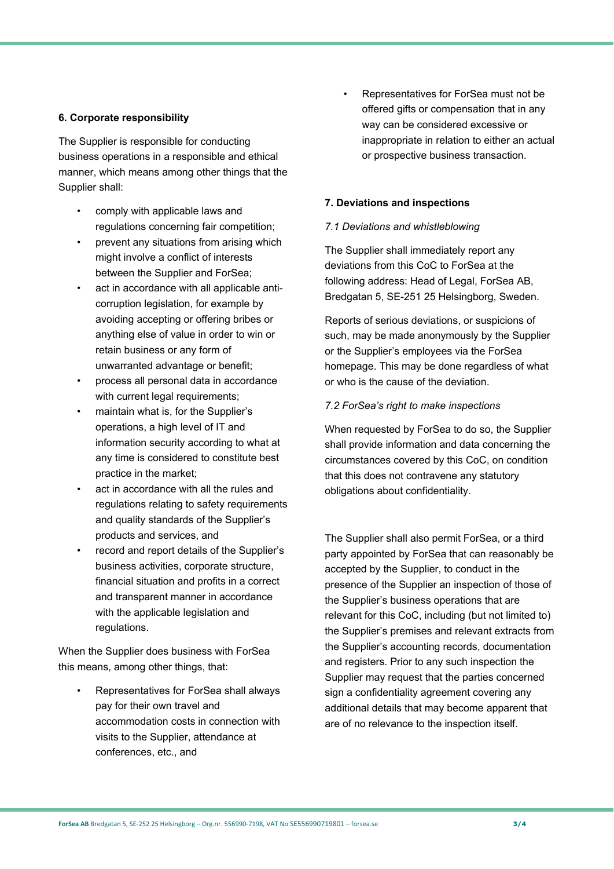#### **6. Corporate responsibility**

The Supplier is responsible for conducting business operations in a responsible and ethical manner, which means among other things that the Supplier shall:

- comply with applicable laws and regulations concerning fair competition;
- prevent any situations from arising which might involve a conflict of interests between the Supplier and ForSea;
- act in accordance with all applicable anticorruption legislation, for example by avoiding accepting or offering bribes or anything else of value in order to win or retain business or any form of unwarranted advantage or benefit;
- process all personal data in accordance with current legal requirements;
- maintain what is, for the Supplier's operations, a high level of IT and information security according to what at any time is considered to constitute best practice in the market;
- act in accordance with all the rules and regulations relating to safety requirements and quality standards of the Supplier's products and services, and
- record and report details of the Supplier's business activities, corporate structure, financial situation and profits in a correct and transparent manner in accordance with the applicable legislation and regulations.

When the Supplier does business with ForSea this means, among other things, that:

• Representatives for ForSea shall always pay for their own travel and accommodation costs in connection with visits to the Supplier, attendance at conferences, etc., and

• Representatives for ForSea must not be offered gifts or compensation that in any way can be considered excessive or inappropriate in relation to either an actual or prospective business transaction.

#### **7. Deviations and inspections**

#### *7.1 Deviations and whistleblowing*

The Supplier shall immediately report any deviations from this CoC to ForSea at the following address: Head of Legal, ForSea AB, Bredgatan 5, SE-251 25 Helsingborg, Sweden.

Reports of serious deviations, or suspicions of such, may be made anonymously by the Supplier or the Supplier's employees via the ForSea homepage. This may be done regardless of what or who is the cause of the deviation.

#### *7.2 ForSea's right to make inspections*

When requested by ForSea to do so, the Supplier shall provide information and data concerning the circumstances covered by this CoC, on condition that this does not contravene any statutory obligations about confidentiality.

The Supplier shall also permit ForSea, or a third party appointed by ForSea that can reasonably be accepted by the Supplier, to conduct in the presence of the Supplier an inspection of those of the Supplier's business operations that are relevant for this CoC, including (but not limited to) the Supplier's premises and relevant extracts from the Supplier's accounting records, documentation and registers. Prior to any such inspection the Supplier may request that the parties concerned sign a confidentiality agreement covering any additional details that may become apparent that are of no relevance to the inspection itself.